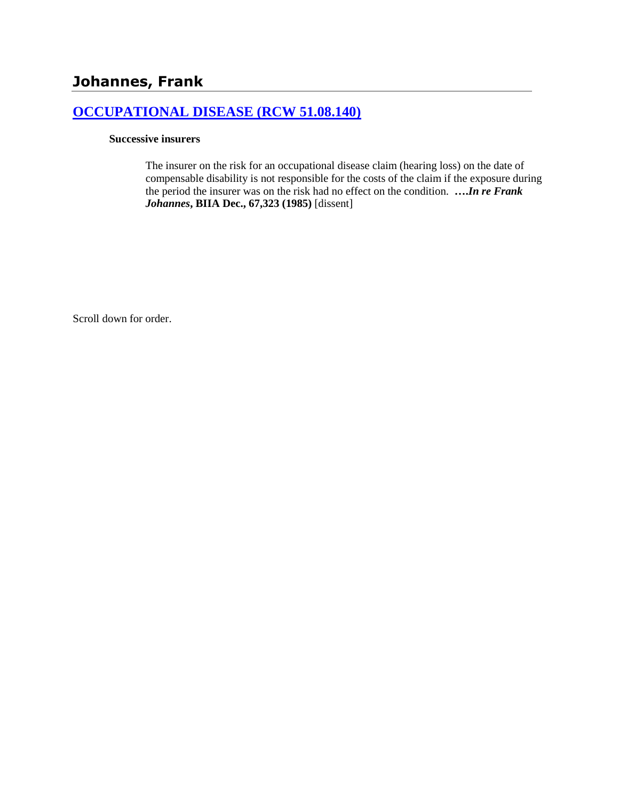# **[OCCUPATIONAL DISEASE \(RCW 51.08.140\)](http://www.biia.wa.gov/SDSubjectIndex.html#OCCUPATIONAL_DISEASE)**

### **Successive insurers**

The insurer on the risk for an occupational disease claim (hearing loss) on the date of compensable disability is not responsible for the costs of the claim if the exposure during the period the insurer was on the risk had no effect on the condition. **….***In re Frank Johannes***, BIIA Dec., 67,323 (1985)** [dissent]

Scroll down for order.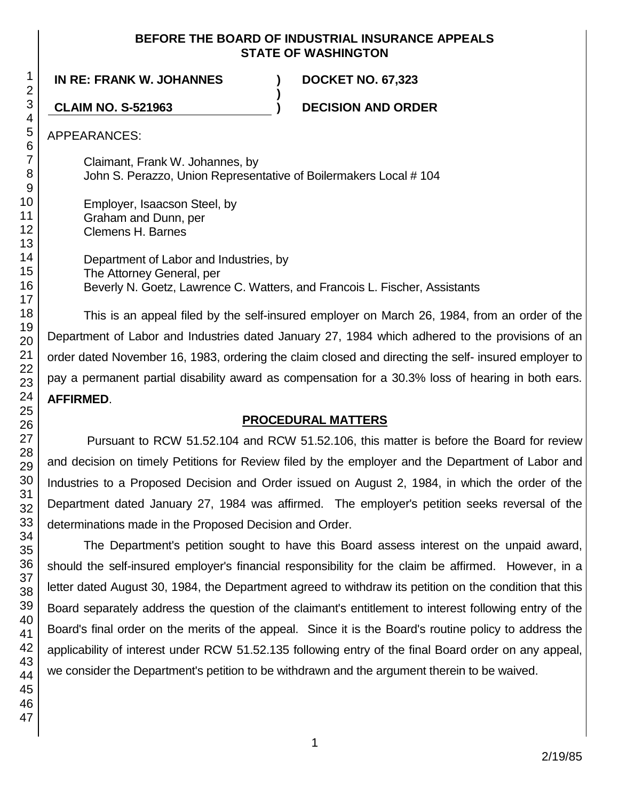## **BEFORE THE BOARD OF INDUSTRIAL INSURANCE APPEALS STATE OF WASHINGTON**

**IN RE: FRANK W. JOHANNES ) DOCKET NO. 67,323**

**CLAIM NO. S-521963 ) DECISION AND ORDER**

APPEARANCES:

Claimant, Frank W. Johannes, by John S. Perazzo, Union Representative of Boilermakers Local # 104

**)**

Employer, Isaacson Steel, by Graham and Dunn, per Clemens H. Barnes

> Department of Labor and Industries, by The Attorney General, per Beverly N. Goetz, Lawrence C. Watters, and Francois L. Fischer, Assistants

This is an appeal filed by the self-insured employer on March 26, 1984, from an order of the Department of Labor and Industries dated January 27, 1984 which adhered to the provisions of an order dated November 16, 1983, ordering the claim closed and directing the self- insured employer to pay a permanent partial disability award as compensation for a 30.3% loss of hearing in both ears. **AFFIRMED**.

# **PROCEDURAL MATTERS**

Pursuant to RCW 51.52.104 and RCW 51.52.106, this matter is before the Board for review and decision on timely Petitions for Review filed by the employer and the Department of Labor and Industries to a Proposed Decision and Order issued on August 2, 1984, in which the order of the Department dated January 27, 1984 was affirmed. The employer's petition seeks reversal of the determinations made in the Proposed Decision and Order.

The Department's petition sought to have this Board assess interest on the unpaid award, should the self-insured employer's financial responsibility for the claim be affirmed. However, in a letter dated August 30, 1984, the Department agreed to withdraw its petition on the condition that this Board separately address the question of the claimant's entitlement to interest following entry of the Board's final order on the merits of the appeal. Since it is the Board's routine policy to address the applicability of interest under RCW 51.52.135 following entry of the final Board order on any appeal, we consider the Department's petition to be withdrawn and the argument therein to be waived.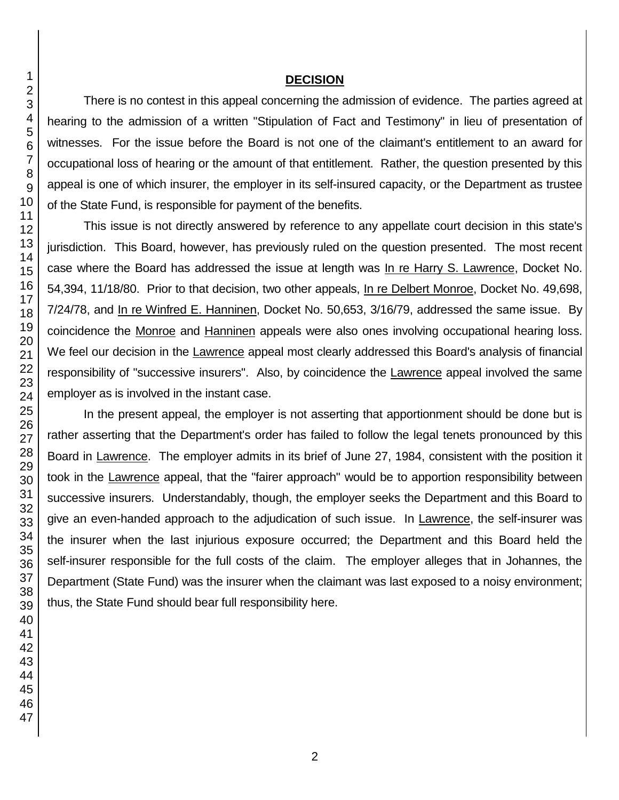### **DECISION**

There is no contest in this appeal concerning the admission of evidence. The parties agreed at hearing to the admission of a written "Stipulation of Fact and Testimony" in lieu of presentation of witnesses. For the issue before the Board is not one of the claimant's entitlement to an award for occupational loss of hearing or the amount of that entitlement. Rather, the question presented by this appeal is one of which insurer, the employer in its self-insured capacity, or the Department as trustee of the State Fund, is responsible for payment of the benefits.

This issue is not directly answered by reference to any appellate court decision in this state's jurisdiction. This Board, however, has previously ruled on the question presented. The most recent case where the Board has addressed the issue at length was In re Harry S. Lawrence, Docket No. 54,394, 11/18/80. Prior to that decision, two other appeals, In re Delbert Monroe, Docket No. 49,698, 7/24/78, and In re Winfred E. Hanninen, Docket No. 50,653, 3/16/79, addressed the same issue. By coincidence the Monroe and Hanninen appeals were also ones involving occupational hearing loss. We feel our decision in the Lawrence appeal most clearly addressed this Board's analysis of financial responsibility of "successive insurers". Also, by coincidence the Lawrence appeal involved the same employer as is involved in the instant case.

In the present appeal, the employer is not asserting that apportionment should be done but is rather asserting that the Department's order has failed to follow the legal tenets pronounced by this Board in Lawrence. The employer admits in its brief of June 27, 1984, consistent with the position it took in the Lawrence appeal, that the "fairer approach" would be to apportion responsibility between successive insurers. Understandably, though, the employer seeks the Department and this Board to give an even-handed approach to the adjudication of such issue. In Lawrence, the self-insurer was the insurer when the last injurious exposure occurred; the Department and this Board held the self-insurer responsible for the full costs of the claim. The employer alleges that in Johannes, the Department (State Fund) was the insurer when the claimant was last exposed to a noisy environment; thus, the State Fund should bear full responsibility here.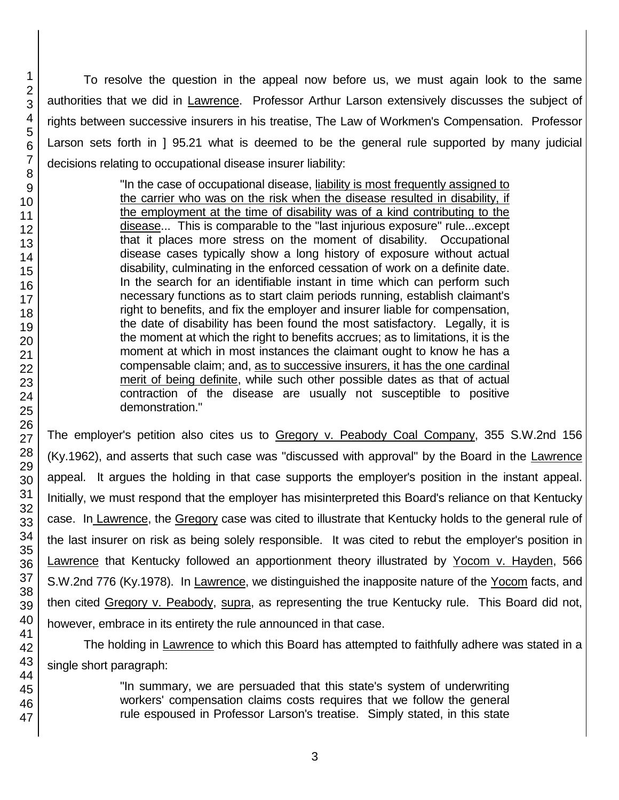To resolve the question in the appeal now before us, we must again look to the same authorities that we did in Lawrence. Professor Arthur Larson extensively discusses the subject of rights between successive insurers in his treatise, The Law of Workmen's Compensation. Professor Larson sets forth in ] 95.21 what is deemed to be the general rule supported by many judicial decisions relating to occupational disease insurer liability:

> "In the case of occupational disease, liability is most frequently assigned to the carrier who was on the risk when the disease resulted in disability, if the employment at the time of disability was of a kind contributing to the disease... This is comparable to the "last injurious exposure" rule...except that it places more stress on the moment of disability. Occupational disease cases typically show a long history of exposure without actual disability, culminating in the enforced cessation of work on a definite date. In the search for an identifiable instant in time which can perform such necessary functions as to start claim periods running, establish claimant's right to benefits, and fix the employer and insurer liable for compensation, the date of disability has been found the most satisfactory. Legally, it is the moment at which the right to benefits accrues; as to limitations, it is the moment at which in most instances the claimant ought to know he has a compensable claim; and, as to successive insurers, it has the one cardinal merit of being definite, while such other possible dates as that of actual contraction of the disease are usually not susceptible to positive demonstration."

The employer's petition also cites us to Gregory v. Peabody Coal Company, 355 S.W.2nd 156 (Ky.1962), and asserts that such case was "discussed with approval" by the Board in the Lawrence appeal. It argues the holding in that case supports the employer's position in the instant appeal. Initially, we must respond that the employer has misinterpreted this Board's reliance on that Kentucky case. In Lawrence, the Gregory case was cited to illustrate that Kentucky holds to the general rule of the last insurer on risk as being solely responsible. It was cited to rebut the employer's position in Lawrence that Kentucky followed an apportionment theory illustrated by Yocom v. Hayden, 566 S.W.2nd 776 (Ky.1978). In Lawrence, we distinguished the inapposite nature of the Yocom facts, and then cited Gregory v. Peabody, supra, as representing the true Kentucky rule. This Board did not, however, embrace in its entirety the rule announced in that case.

The holding in Lawrence to which this Board has attempted to faithfully adhere was stated in a single short paragraph:

> "In summary, we are persuaded that this state's system of underwriting workers' compensation claims costs requires that we follow the general rule espoused in Professor Larson's treatise. Simply stated, in this state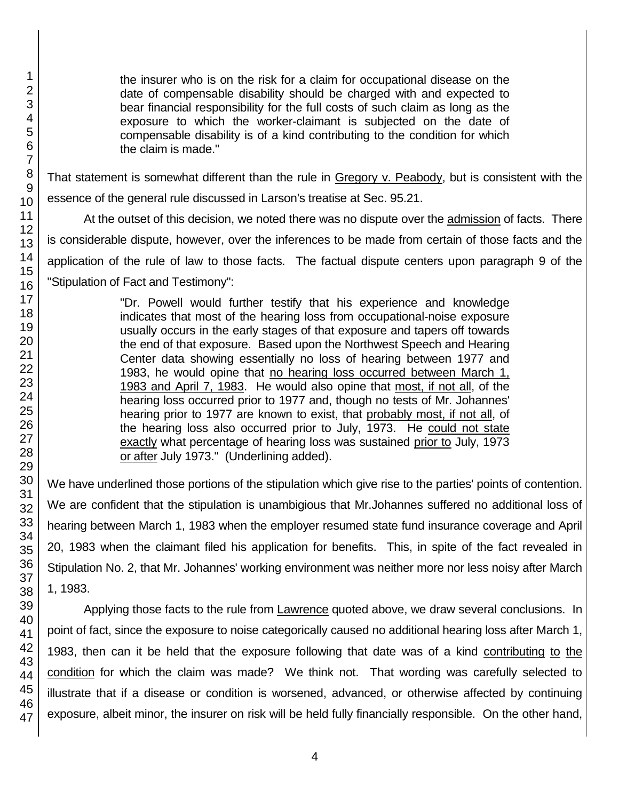the insurer who is on the risk for a claim for occupational disease on the date of compensable disability should be charged with and expected to bear financial responsibility for the full costs of such claim as long as the exposure to which the worker-claimant is subjected on the date of compensable disability is of a kind contributing to the condition for which the claim is made."

That statement is somewhat different than the rule in Gregory v. Peabody, but is consistent with the essence of the general rule discussed in Larson's treatise at Sec. 95.21.

At the outset of this decision, we noted there was no dispute over the admission of facts. There is considerable dispute, however, over the inferences to be made from certain of those facts and the application of the rule of law to those facts. The factual dispute centers upon paragraph 9 of the "Stipulation of Fact and Testimony":

> "Dr. Powell would further testify that his experience and knowledge indicates that most of the hearing loss from occupational-noise exposure usually occurs in the early stages of that exposure and tapers off towards the end of that exposure. Based upon the Northwest Speech and Hearing Center data showing essentially no loss of hearing between 1977 and 1983, he would opine that no hearing loss occurred between March 1, 1983 and April 7, 1983. He would also opine that most, if not all, of the hearing loss occurred prior to 1977 and, though no tests of Mr. Johannes' hearing prior to 1977 are known to exist, that probably most, if not all, of the hearing loss also occurred prior to July, 1973. He could not state exactly what percentage of hearing loss was sustained prior to July, 1973 or after July 1973." (Underlining added).

We have underlined those portions of the stipulation which give rise to the parties' points of contention. We are confident that the stipulation is unambigious that Mr.Johannes suffered no additional loss of hearing between March 1, 1983 when the employer resumed state fund insurance coverage and April 20, 1983 when the claimant filed his application for benefits. This, in spite of the fact revealed in Stipulation No. 2, that Mr. Johannes' working environment was neither more nor less noisy after March 1, 1983.

Applying those facts to the rule from Lawrence quoted above, we draw several conclusions. In point of fact, since the exposure to noise categorically caused no additional hearing loss after March 1, 1983, then can it be held that the exposure following that date was of a kind contributing to the condition for which the claim was made? We think not. That wording was carefully selected to illustrate that if a disease or condition is worsened, advanced, or otherwise affected by continuing exposure, albeit minor, the insurer on risk will be held fully financially responsible. On the other hand,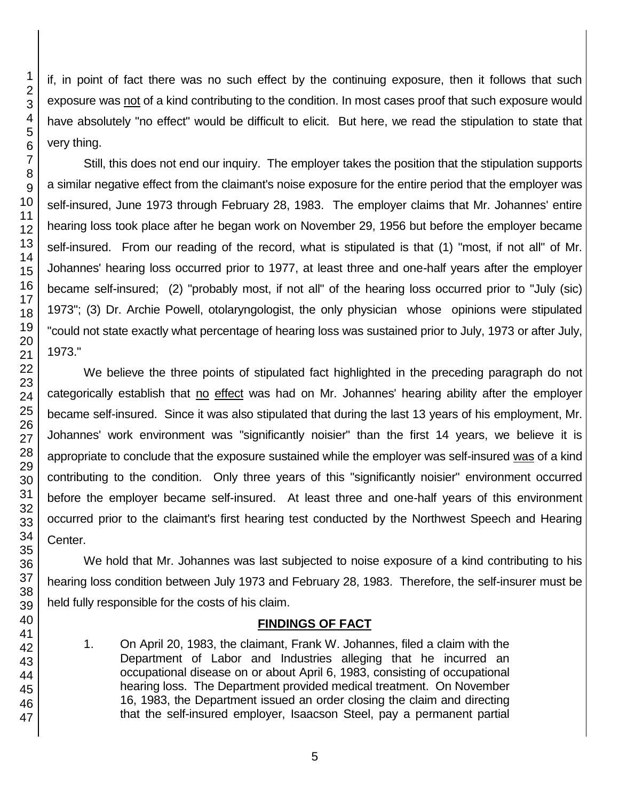if, in point of fact there was no such effect by the continuing exposure, then it follows that such exposure was not of a kind contributing to the condition. In most cases proof that such exposure would have absolutely "no effect" would be difficult to elicit. But here, we read the stipulation to state that very thing.

Still, this does not end our inquiry. The employer takes the position that the stipulation supports a similar negative effect from the claimant's noise exposure for the entire period that the employer was self-insured, June 1973 through February 28, 1983. The employer claims that Mr. Johannes' entire hearing loss took place after he began work on November 29, 1956 but before the employer became self-insured. From our reading of the record, what is stipulated is that (1) "most, if not all" of Mr. Johannes' hearing loss occurred prior to 1977, at least three and one-half years after the employer became self-insured; (2) "probably most, if not all" of the hearing loss occurred prior to "July (sic) 1973"; (3) Dr. Archie Powell, otolaryngologist, the only physician whose opinions were stipulated "could not state exactly what percentage of hearing loss was sustained prior to July, 1973 or after July, 1973."

We believe the three points of stipulated fact highlighted in the preceding paragraph do not categorically establish that no effect was had on Mr. Johannes' hearing ability after the employer became self-insured. Since it was also stipulated that during the last 13 years of his employment, Mr. Johannes' work environment was "significantly noisier" than the first 14 years, we believe it is appropriate to conclude that the exposure sustained while the employer was self-insured was of a kind contributing to the condition. Only three years of this "significantly noisier" environment occurred before the employer became self-insured. At least three and one-half years of this environment occurred prior to the claimant's first hearing test conducted by the Northwest Speech and Hearing Center.

We hold that Mr. Johannes was last subjected to noise exposure of a kind contributing to his hearing loss condition between July 1973 and February 28, 1983. Therefore, the self-insurer must be held fully responsible for the costs of his claim.

## **FINDINGS OF FACT**

1. On April 20, 1983, the claimant, Frank W. Johannes, filed a claim with the Department of Labor and Industries alleging that he incurred an occupational disease on or about April 6, 1983, consisting of occupational hearing loss. The Department provided medical treatment. On November 16, 1983, the Department issued an order closing the claim and directing that the self-insured employer, Isaacson Steel, pay a permanent partial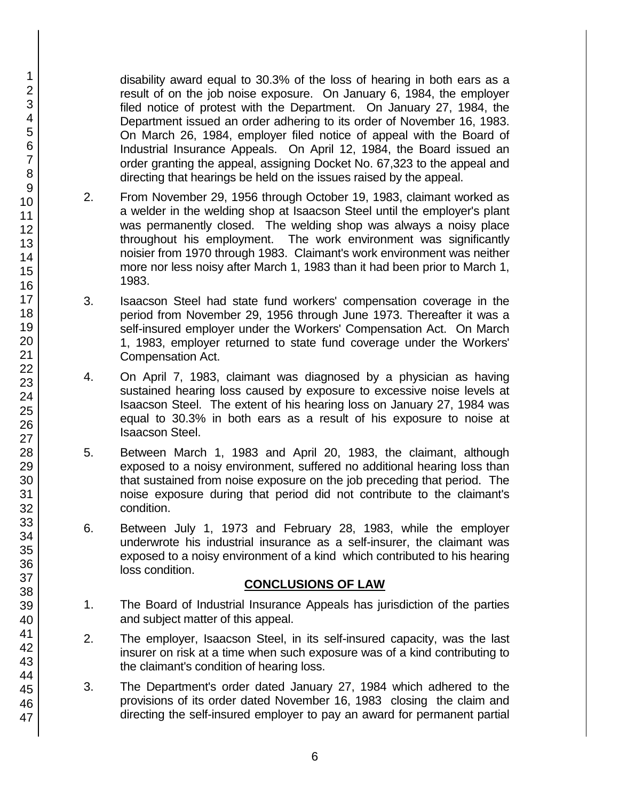disability award equal to 30.3% of the loss of hearing in both ears as a result of on the job noise exposure. On January 6, 1984, the employer filed notice of protest with the Department. On January 27, 1984, the Department issued an order adhering to its order of November 16, 1983. On March 26, 1984, employer filed notice of appeal with the Board of Industrial Insurance Appeals. On April 12, 1984, the Board issued an order granting the appeal, assigning Docket No. 67,323 to the appeal and directing that hearings be held on the issues raised by the appeal.

- 2. From November 29, 1956 through October 19, 1983, claimant worked as a welder in the welding shop at Isaacson Steel until the employer's plant was permanently closed. The welding shop was always a noisy place throughout his employment. The work environment was significantly noisier from 1970 through 1983. Claimant's work environment was neither more nor less noisy after March 1, 1983 than it had been prior to March 1, 1983.
- 3. Isaacson Steel had state fund workers' compensation coverage in the period from November 29, 1956 through June 1973. Thereafter it was a self-insured employer under the Workers' Compensation Act. On March 1, 1983, employer returned to state fund coverage under the Workers' Compensation Act.
- 4. On April 7, 1983, claimant was diagnosed by a physician as having sustained hearing loss caused by exposure to excessive noise levels at Isaacson Steel. The extent of his hearing loss on January 27, 1984 was equal to 30.3% in both ears as a result of his exposure to noise at Isaacson Steel.
- 5. Between March 1, 1983 and April 20, 1983, the claimant, although exposed to a noisy environment, suffered no additional hearing loss than that sustained from noise exposure on the job preceding that period. The noise exposure during that period did not contribute to the claimant's condition.
- 6. Between July 1, 1973 and February 28, 1983, while the employer underwrote his industrial insurance as a self-insurer, the claimant was exposed to a noisy environment of a kind which contributed to his hearing loss condition.

## **CONCLUSIONS OF LAW**

- 1. The Board of Industrial Insurance Appeals has jurisdiction of the parties and subject matter of this appeal.
- 2. The employer, Isaacson Steel, in its self-insured capacity, was the last insurer on risk at a time when such exposure was of a kind contributing to the claimant's condition of hearing loss.
- 3. The Department's order dated January 27, 1984 which adhered to the provisions of its order dated November 16, 1983 closing the claim and directing the self-insured employer to pay an award for permanent partial

47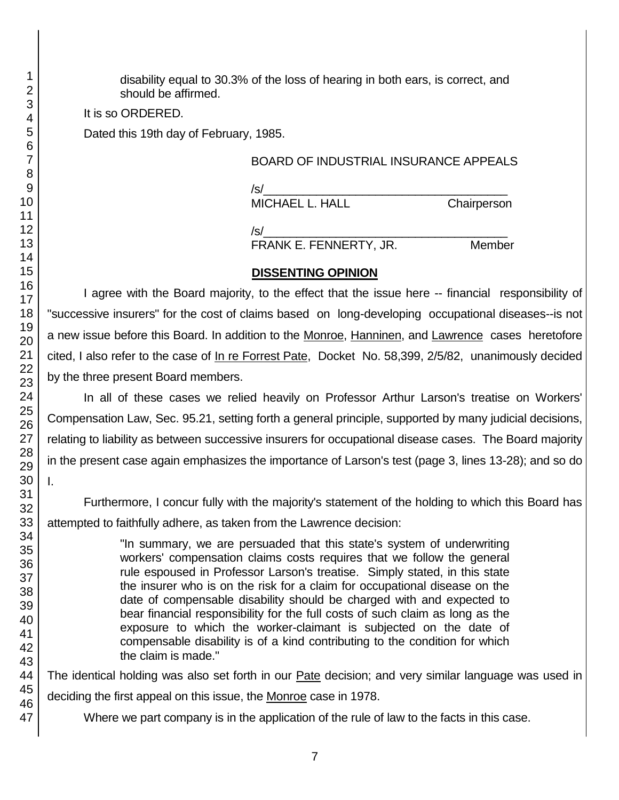disability equal to 30.3% of the loss of hearing in both ears, is correct, and should be affirmed.

It is so ORDERED.

Dated this 19th day of February, 1985.

## BOARD OF INDUSTRIAL INSURANCE APPEALS

/s/\_\_\_\_\_\_\_\_\_\_\_\_\_\_\_\_\_\_\_\_\_\_\_\_\_\_\_\_\_\_\_\_\_\_\_\_\_ MICHAEL L. HALL Chairperson

/s/\_\_\_\_\_\_\_\_\_\_\_\_\_\_\_\_\_\_\_\_\_\_\_\_\_\_\_\_\_\_\_\_\_\_\_\_\_ FRANK E. FENNERTY, JR. Member

## **DISSENTING OPINION**

I agree with the Board majority, to the effect that the issue here -- financial responsibility of "successive insurers" for the cost of claims based on long-developing occupational diseases--is not a new issue before this Board. In addition to the Monroe, Hanninen, and Lawrence cases heretofore cited, I also refer to the case of In re Forrest Pate, Docket No. 58,399, 2/5/82, unanimously decided by the three present Board members.

In all of these cases we relied heavily on Professor Arthur Larson's treatise on Workers' Compensation Law, Sec. 95.21, setting forth a general principle, supported by many judicial decisions, relating to liability as between successive insurers for occupational disease cases. The Board majority in the present case again emphasizes the importance of Larson's test (page 3, lines 13-28); and so do

Furthermore, I concur fully with the majority's statement of the holding to which this Board has attempted to faithfully adhere, as taken from the Lawrence decision:

> "In summary, we are persuaded that this state's system of underwriting workers' compensation claims costs requires that we follow the general rule espoused in Professor Larson's treatise. Simply stated, in this state the insurer who is on the risk for a claim for occupational disease on the date of compensable disability should be charged with and expected to bear financial responsibility for the full costs of such claim as long as the exposure to which the worker-claimant is subjected on the date of compensable disability is of a kind contributing to the condition for which the claim is made."

The identical holding was also set forth in our Pate decision; and very similar language was used in deciding the first appeal on this issue, the Monroe case in 1978.

Where we part company is in the application of the rule of law to the facts in this case.

I.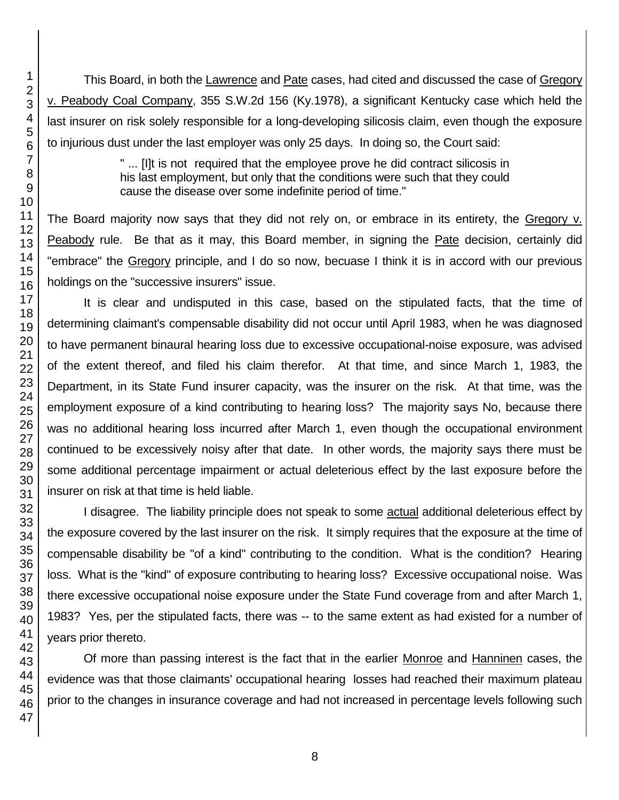This Board, in both the Lawrence and Pate cases, had cited and discussed the case of Gregory v. Peabody Coal Company, 355 S.W.2d 156 (Ky.1978), a significant Kentucky case which held the last insurer on risk solely responsible for a long-developing silicosis claim, even though the exposure to injurious dust under the last employer was only 25 days. In doing so, the Court said:

> " ... [I]t is not required that the employee prove he did contract silicosis in his last employment, but only that the conditions were such that they could cause the disease over some indefinite period of time."

The Board majority now says that they did not rely on, or embrace in its entirety, the Gregory v. Peabody rule. Be that as it may, this Board member, in signing the Pate decision, certainly did "embrace" the Gregory principle, and I do so now, becuase I think it is in accord with our previous holdings on the "successive insurers" issue.

It is clear and undisputed in this case, based on the stipulated facts, that the time of determining claimant's compensable disability did not occur until April 1983, when he was diagnosed to have permanent binaural hearing loss due to excessive occupational-noise exposure, was advised of the extent thereof, and filed his claim therefor. At that time, and since March 1, 1983, the Department, in its State Fund insurer capacity, was the insurer on the risk. At that time, was the employment exposure of a kind contributing to hearing loss? The majority says No, because there was no additional hearing loss incurred after March 1, even though the occupational environment continued to be excessively noisy after that date. In other words, the majority says there must be some additional percentage impairment or actual deleterious effect by the last exposure before the insurer on risk at that time is held liable.

I disagree. The liability principle does not speak to some actual additional deleterious effect by the exposure covered by the last insurer on the risk. It simply requires that the exposure at the time of compensable disability be "of a kind" contributing to the condition. What is the condition? Hearing loss. What is the "kind" of exposure contributing to hearing loss? Excessive occupational noise. Was there excessive occupational noise exposure under the State Fund coverage from and after March 1, 1983? Yes, per the stipulated facts, there was -- to the same extent as had existed for a number of years prior thereto.

Of more than passing interest is the fact that in the earlier Monroe and Hanninen cases, the evidence was that those claimants' occupational hearing losses had reached their maximum plateau prior to the changes in insurance coverage and had not increased in percentage levels following such